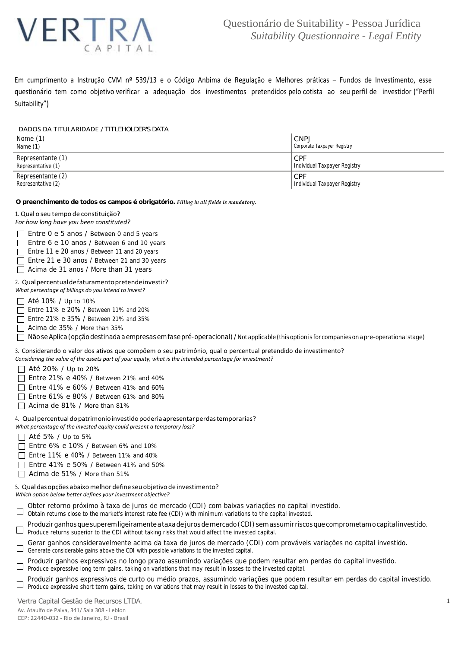

Em cumprimento a Instrução CVM nº 539/13 e o Código Anbima de Regulação e Melhores práticas – Fundos de Investimento, esse questionário tem como objetivo verificar a adequação dos investimentos pretendidos pelo cotista ao seu perfil de investidor ("Perfil Suitability")

### DADOS DA TITULARIDADE / *TITLEHOLDER'S DATA*

| Nome (1)           | <b>CNPJ</b>                  |
|--------------------|------------------------------|
| Name $(1)$         | Corporate Taxpayer Registry  |
| Representante (1)  | <b>CPF</b>                   |
| Representative (1) | Individual Taxpayer Registry |
| Representante (2)  | <b>ICPF</b>                  |
| Representative (2) | Individual Taxpayer Registry |

#### **O preenchimento de todos os campos é obrigatório.** *Filling in all fields is mandatory.*

1. Qual o seu tempo de constituição?

*For how long have you been constituted?*

Entre 0 e 5 anos / *Between 0 and 5 years* Entre 6 e 10 anos / *Between 6 and 10 years*

Entre 11 e 20 anos / *Between 11 and 20 years*

Entre 21 e 30 anos / *Between 21 and 30 years*

Acima de 31 anos / *More than 31 years*

## 2. Qualpercentualdefaturamentopretendeinvestir?

*What percentage of billings do you intend to invest?*

Até 10% / *Up to 10%*

Entre 11% e 20% / *Between 11% and 20%*

Entre 21% e 35% / *Between 21% and 35%*

Acima de 35% / *More than 35%*

Não se Aplica (opção destinada a empresas em fase pré-operacional) / *Not applicable (this option is for companies on a pre-operational st*a*ge)*

3. Considerando o valor dos ativos que compõem o seu patrimônio, qual o percentual pretendido de investimento? *Considering the value of the assets part of your equity, what is the intended percentage for investment?*

Até 20% / *Up to 20%* 

Entre 21% e 40% / *Between 21% and 40%*

Entre 41% e 60% / *Between 41% and 60%*

- Entre 61% e 80% / *Between 61% and 80%*
- Acima de 81% / *More than 81%*

## 4. Qual percentual do patrimonio investido poderia apresentar perdas temporarias?

*What percentage of the invested equity could present a temporary loss?*

- Até 5% / *Up to 5%*
- Entre 6% e 10% / *Between 6% and 10%*
- Entre 11% e 40% / *Between 11% and 40%*
- Entre 41% e 50% / *Between 41% and 50%*
- Acima de 51% / *More than 51%*

## 5. Qual dasopções abaixomelhor define seuobjetivo de investimento?

*Which option below better defines your investment objective?*

- Obter retorno próximo à taxa de juros de mercado (CDI) com baixas variações no capital investido.
- *Obtain returns close to the market's interest rate fee (CDI) with minimum variations to the capital invested.*
- Produzir ganhos que superem ligeiramente a taxa de juros de mercado (CDI) sem assumir riscos que comprometam o capital investido. *Produce returns superior to the CDI without taking risks that would affect the invested capital.*
- Gerar ganhos consideravelmente acima da taxa de juros de mercado (CDI) com prováveis variações no capital investido.
- *Generate considerable gains above the CDI with possible variations to the invested capital.*
- Produzir ganhos expressivos no longo prazo assumindo variações que podem resultar em perdas do capital investido.  $\Box$
- *Produce expressive long term gains, taking on variations that may result in losses to the invested capital.*
- Produzir ganhos expressivos de curto ou médio prazos, assumindo variações que podem resultar em perdas do capital investido. *Produce expressive short term gains, taking on variations that may result in losses to the invested capital.*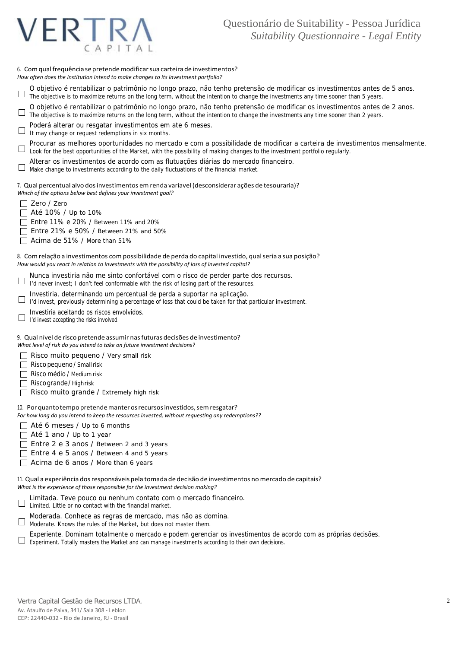# VERTI APITAI

6. Comqualfrequência se pretendemodificarsua carteirade investimentos? *How often does the institution intend to make changes to its investment portfolio?*

- O objetivo é rentabilizar o patrimônio no longo prazo, não tenho pretensão de modificar os investimentos antes de 5 anos.  $\Box$ *The objective is to maximize returns on the long term, without the intention to change the investments any time sooner than 5 years.*
- O objetivo é rentabilizar o patrimônio no longo prazo, não tenho pretensão de modificar os investimentos antes de 2 anos. *The objective is to maximize returns on the long term, without the intention to change the investments any time sooner than 2 years.*
- Poderá alterar ou resgatar investimentos em ate 6 meses.
- *It may change or request redemptions in six months.*
- Procurar as melhores oportunidades no mercado e com a possibilidade de modificar a carteira de investimentos mensalmente.  $\Box$ *Look for the best opportunities of the Market, with the possibility of making changes to the investment portfolio regularly.*
- Alterar os investimentos de acordo com as flutuações diárias do mercado financeiro.
- *Make change to investments according to the daily fluctuations of the financial market.*

7. Qual percentual alvo dosinvestimentos emrenda variavel (desconsiderar ações de tesouraria)? *Which of the options below best defines your investment goal?*

- Zero / *Zero*
- Até 10% / *Up to 10%*
- Entre 11% e 20% / *Between 11% and 20%*
- Entre 21% e 50% / *Between 21% and 50%*
- Acima de 51% / *More than 51%*
- 8. Com relação a investimentos com possibilidade de perda do capital investido, qualseria a sua posição? *How would you react in relation to investments with the possibility of loss of invested capital?*
- Nunca investiria não me sinto confortável com o risco de perder parte dos recursos.
- $\Box$ *I'd never invest; I don't feel conformable with the risk of losing part of the resources.*
- Investiria, determinando um percentual de perda a suportar na aplicação.
- $\Box$ *I'd invest, previously determining a percentage of loss that could be taken for that particular investment.*
- Investiria aceitando os riscos envolvidos.
- $\Box$ *I'd invest accepting the risks involved.*

9. Qual nível de risco pretende assumir nasfuturas decisões de investimento? *What level of risk do you intend to take on future investment decisions?*

Risco muito pequeno / *Very small risk*

- Risco pequeno / *Small risk*
- Risco médio / *Medium risk*
- Risco grande / *High risk*
- Risco muito grande / *Extremely high risk*

10. Por quanto tempo pretende manter os recursos investidos, sem resgatar? *For how long do you intend to keep the resources invested, without requesting any redemptions??*

- Até 6 meses / *Up to 6 months*
- Até 1 ano / *Up to 1 year*
- Entre 2 e 3 anos / *Between 2 and 3 years*
- Entre 4 e 5 anos / *Between 4 and 5 years*
- Acima de 6 anos / *More than 6 years*

11. Qual a experiência dosresponsáveis pela tomada de decisão de investimentos no mercado de capitais? *What is the experience of those responsible for the investment decision making?*

- Limitada. Teve pouco ou nenhum contato com o mercado financeiro.
- $\Box$ *Limited. Little or no contact with the financial market.*
- Moderada. Conhece as regras de mercado, mas não as domina.
- *Moderate. Knows the rules of the Market, but does not master them.*
- Experiente. Dominam totalmente o mercado e podem gerenciar os investimentos de acordo com as próprias decisões.
- $\Box$ *Experiment. Totally masters the Market and can manage investments according to their own decisions.*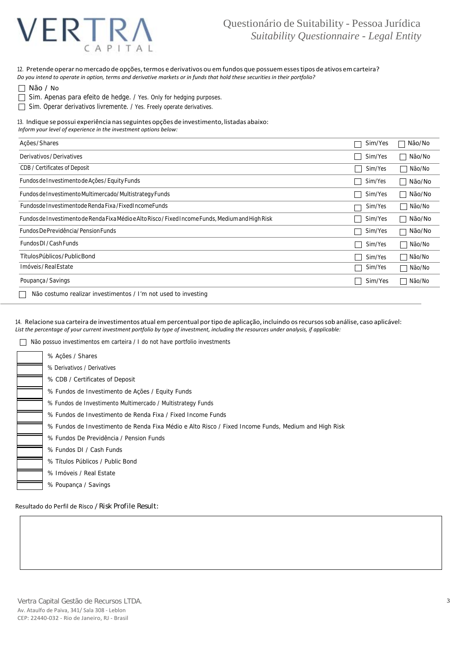

12. Pretende operar no mercado de opções, termos e derivativos ou em fundos que possuem esses tipos de ativos em carteira?

Do you intend to operate in option, terms and derivative markets or in funds that hold these securities in their portfolio?

| Não / |  | NΩ |
|-------|--|----|
|-------|--|----|

- Sim. Apenas para efeito de hedge. / *Yes. Only for hedging purposes.*
- Sim. Operar derivativos livremente. / *Yes. Freely operate derivatives.*

13. Indique se possui experiência nas seguintes opções de investimento, listadas abaixo:

*Inform your level of experience in the investment options below:*

| Acões / Shares                                                                                     | Sim/Yes           | Não/No                             |
|----------------------------------------------------------------------------------------------------|-------------------|------------------------------------|
| Derivativos / Derivatives                                                                          | Sim/Yes           | Não/No                             |
| CDB / Certificates of Deposit                                                                      | Sim/Yes           | Não/No<br>$\overline{\phantom{a}}$ |
| Fundos de Investimento de Ações / Equity Funds                                                     | Sim/Yes           | Não/No<br>$\mathcal{L}$            |
| Fundos de Investimento Multimercado/ Multistrategy Funds                                           | Sim/Yes           | Não/ <i>No</i><br>×                |
| Fundosde Investimentode Renda Fixa / Fixed Income Funds                                            | Sim/Yes           | Não/No<br>$\overline{\phantom{a}}$ |
| Fundos de Investimento de Renda Fixa Médio e Alto Risco / Fixed Income Funds, Medium and High Risk | Sim/Yes           | Não/ <i>No</i><br>$\mathcal{L}$    |
| Fundos De Previdência/ Pension Funds                                                               | Sim/Yes           | Não/ <i>No</i>                     |
| Fundos DI / Cash Funds                                                                             | Sim/Yes           | Não/No<br>$\blacksquare$           |
| Títulos Públicos / <i>Public Bond</i>                                                              | Sim/Yes           | Não/No<br>$\blacksquare$           |
| Imóveis / Real Estate                                                                              | Sim/Yes           | Não/No<br>$\overline{\phantom{a}}$ |
| Poupança / Savings                                                                                 | Sim/Yes<br>$\sim$ | Não/No                             |
| Não costumo realizar investimentos / I'm not used to investing                                     |                   |                                    |

14. Relacione sua carteira de investimentos atual empercentual portipo de aplicação, incluindo osrecursossob análise, caso aplicável: List the percentage of your current investment portfolio by type of investment, including the resources under analysis, if applicable:

Não possuo investimentos em carteira / *I do not have portfolio investments*

Resultado do Perfil de Risco / *Risk Profile Result:*